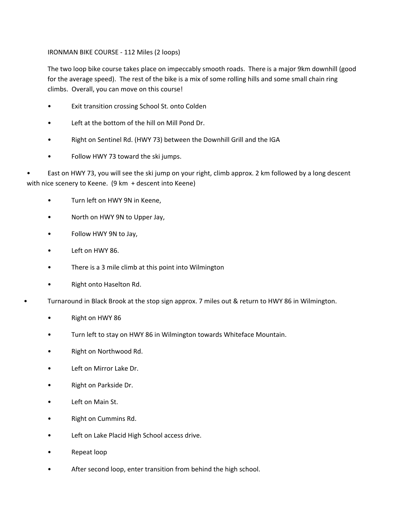IRONMAN BIKE COURSE ‐ 112 Miles (2 loops)

The two loop bike course takes place on impeccably smooth roads. There is a major 9km downhill (good for the average speed). The rest of the bike is a mix of some rolling hills and some small chain ring climbs. Overall, you can move on this course!

- Exit transition crossing School St. onto Colden
- Left at the bottom of the hill on Mill Pond Dr.
- Right on Sentinel Rd. (HWY 73) between the Downhill Grill and the IGA
- Follow HWY 73 toward the ski jumps.

• East on HWY 73, you will see the ski jump on your right, climb approx. 2 km followed by a long descent with nice scenery to Keene. (9 km + descent into Keene)

- Turn left on HWY 9N in Keene,
- North on HWY 9N to Upper Jay,
- Follow HWY 9N to Jay,
- Left on HWY 86.
- There is a 3 mile climb at this point into Wilmington
- Right onto Haselton Rd.
- Turnaround in Black Brook at the stop sign approx. 7 miles out & return to HWY 86 in Wilmington.
	- Right on HWY 86
	- Turn left to stay on HWY 86 in Wilmington towards Whiteface Mountain.
	- Right on Northwood Rd.
	- Left on Mirror Lake Dr.
	- Right on Parkside Dr.
	- Left on Main St.
	- Right on Cummins Rd.
	- Left on Lake Placid High School access drive.
	- Repeat loop
	- After second loop, enter transition from behind the high school.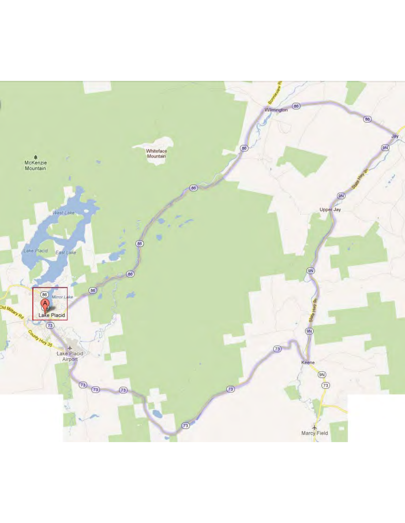